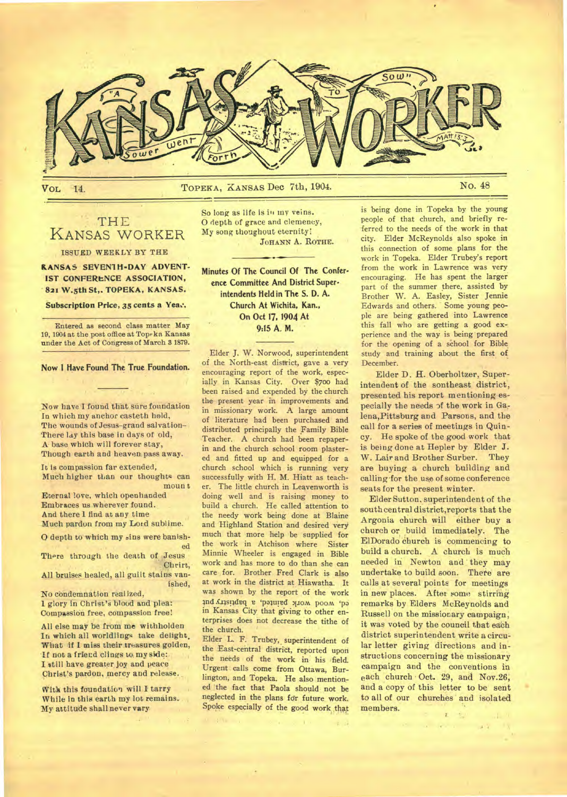

**VoL 14. TOPEKA,** KANSAS **Dec 7th, 1904. No. 48** 

## THE KANSAS WORKER

#### **ISSUED WEEKLY BY THE**

*KANSAS SEVENTH-DAY ADVENT-***IST CONFERENCE ASSOCIATION, 821 W.5th St,. TOPEKA, KANSAS.** 

Subscription Price, 35 cents a Yea...

Entered as second class matter May 19, 1904 at the post office at Topeka Kansas under the Act of Congress of March 3 1879.

**Now I Have Found The True Foundation.** 

Now have I found that sure foundation In which my anchor casteth hold, The wounds of Jesus-grand salvation-There lay this base in days of old, A base which will forever stay, Though earth and heaven pass away.

It is compassion far extended, Much higher than our thoughts can moun<sub>t</sub> Eternal love, which openhanded

Embraces us wherever found. And there 1 find at any time Much pardon from my Lord sublime.

O depth to which my sins were banished

There through the death of Jesus Chrirt,

All bruises healed, all guilt stains vanished,

No condemnation realized, 1 glory in Christ's blood and plea: Compassion free, compassion free!

All else may be from me withholden In which all worldlings take delight. What if I miss their treasures golden, If not a friecd clings to my side: **I** still have greater joy and peace Christ's pardon, mercy and release.

With this foundation will I tarry While in this earth my lot remains. My attitude shall never vary

So long as life is in my veins. **0** depth of grace and clemency, My song thoughout eternity: JOHANN A. ROTHE.

**Minutes Of The Council Of The Conference Committee And District Superintendents Held in The S. D. A. Church At Wichita, Kan., On Oct 17, 1904 At 9:15 A. M.** 

Elder J. W. Norwood, superintendent of the North-east district, gave a very encouraging report of the work, especially in Kansas City. Over \$700 had been raised and expended by the church the present year in improvements and in missionary work. A large amount of literature had been purchased and distributed principally the Family Bible Teacher. A church had been repaperin and the church school room plastered and fitted up and equipped for a church school which is running very successfully with H. M. Hiatt as teacher. The little church in Leavenworth is doing well and is raising money to build a church. He called attention to the needy work being done at Blaine and Highland Station and desired very much that more help be supplied for the work in Atchison where Sister Minnie Wheeler is engaged in Bible work and has more to do than she can care for. Brother Fred Clark is also at work in the district at Hiawatha. It was shown by the report of the work ed, wood work painted, a baptistry put in Kansas City that giving to other enterprises does not decrease the tithe of the church.

Elder L. F. Trubey, superintendent of the East-central district, reported upon the needs of the work in his field. Urgent calls come from Ottawa, Burlington, and Topeka. He also mentioned the fact that Paola should not be neglected in the plans for future work. Spoke especially of the good work that is being done in Topeka by the young people of that church, and briefly referred to the needs of the work in that city. Elder McReynolds also spoke in this connection of some plans for the work in Topeka. Elder Trubey's report from the work in Lawrence was very encouraging. He has spent the larger part of the summer there, assisted by Brother W. A. Easley, Sister Jennie Edwards and others. Some young people are being gathered into Lawrence this fall who are getting a good experience and the way is being prepared for the opening of a school for Bible study and training about the first of December.

Elder D. H. Oberholtzer, Superintendent of the sontheast district, presented his report mentioning especially the needs of the work in Galena,Pittsburg and Parsons, and the call for a series of meetings in Quincy. He spoke of the good work that is being done at Hepler by Elder J. W. Lair and Brother Surber. They are buying a church building and calling •for the use of some conference seats for the present winter.

Elder Sutton, superintendent of the south central district,reports that the Argonia church will either buy a church or build immediately. The ElDorado church is commencing to build a church. A church is much needed in Newton and they may undertake to build soon. Thete are calls at several points for meetings in new places. After some stirring remarks by Elders McReynolds and Russell on the missionary campaign, it was voted by the council that each district superintendent write a circular letter giving directions and instructions concerning the missionary campaign and the conventions in each church • Oct. 29, and Nov.26, and a copy of this letter to be sent to all of our churches and isolated members.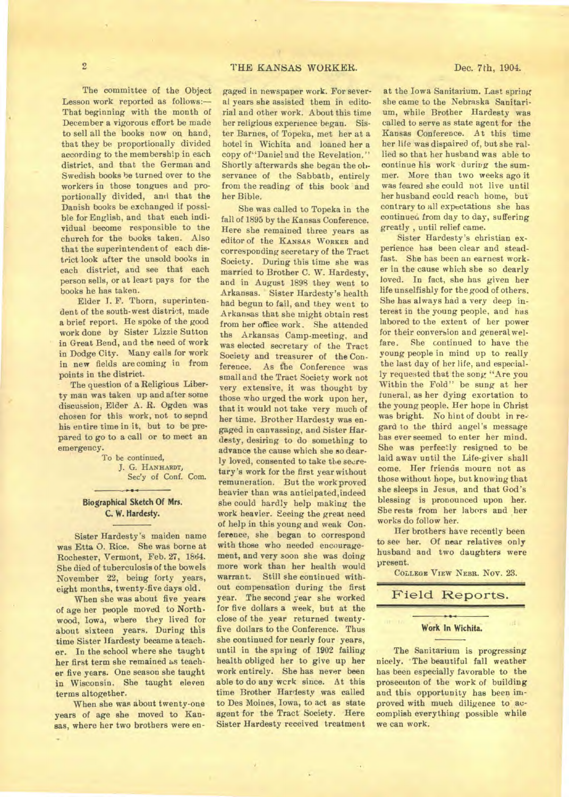The committee of the Object Lesson work reported as follows:— That beginning with the month of December a vigorous effort be made to sell all the books now on hand, that they be proportionally divided according to the membership in each district, and that the German and Swedish books be turned over to the workers in those tongues and proportionally divided, and that the Danish books be exchanged if possible for English, and that each individual become responsible to the church for the books taken. Also that the superintendent of each district look after the unsold books in each district, and see that each person sells, or at least pays for the books he has taken.

Elder T. F. Thorn, superintendent of the south-west district, made a brief report. He spoke of the good work done by Sister Lizzie Sutton in Great Bend, and the need of work in Dodge City. Many calls for work in new fields are coming in from points in the district.

The question of a Religious Liberty man was taken up and after some discussion, Elder A. R. Ogden was chosen for this work, not to sepnd his entire time in it, but to be prepared to go to a call or to meet an emergency.

To be continued,

J. G. **HANHARDT,**  Sec'y of Conf. Com.

#### **Biographical Sketch Of Mrs. C. W. Hardesty.**

Sister Hardesty's maiden name was Etta 0. Rice. She was borne at Rochester, Vermont, Feb. 27, 1864. She died of tuberculosis of the bowels November 22, being forty years, eight months, twenty-five days old.

When she was about five years of age her people moved to Northwood, Iowa, where they lived for about sixteen years. During this time Sister lfardesty became a teacher. In the school where she taught her first term she remained as teacher five years. One season she taught in Wisconsin. She taught eleven terms altogether.

When she was about twenty-one years of age she moved to Kansas, where her two brothers were en-

gaged in newspaper work. For several years she assisted them in editorial and other work. About this time her religious experience began. Sister Barnes, of Topeka, met her at a hotel in Wichita and loaned her a copy of"Daniel and the Revelation." Shortly afterwards she began the observance of the Sabbath, entirely from the reading of this book and her Bible.

She was called to Topeka in the fall of 1895 by the Kansas Conference. Here she remained three years as editor of the **KANSAS WORKER** and corresponding secretary of the Tract Society. During this time she was married to Brother C. W. Hardesty, and in August 1898 they went to Arkansas. Sister Hardesty's health had begun to fail, and they went to Arkansas that she might obtain rest from her office work. She attended the Arkansas Camp-meeting, and was elected secretary of the Tract Society and treasurer of the Con-<br>ference. As the Conference was As the Conference was small and the Tract Society work not very extensive, it was thought by those who urged the work upon her, that it would not take very much of her time. Brother Hardesty was engaged in canvassing, and Sister Hardesty, desiring to do something to advance the cause which she so dearly loved, consented to take the secretary's work for the first year without remuneration. But the work proved heavier than was anticipated,indeed she could hardly help making the work heavier. Seeing the great need of help in this young and weak Conference, she began to correspond with those who needed encouragement, and very soon she was doing more work than her health would warrant. Still she continued without compensation during the first year. The second year she worked for five dollars a week, but at the close of the year returned twentyfive dollars to the Conference. Thus she continued for nearly four years, until in the spring of 1902 failing health obliged her to give up her work entirely. She has never been able to do any wcrk since. At this time Brother Hardesty was called to Des Moines, Iowa, to act as state agent for the Tract Society. Here Sister Hardesty received treatment

at the Iowa Sanitarium. Last spring she came to the Nebraska Sanitarium, while Brother Hardesty was called to serve as state agent for the Kansas Conference. At this time her life was dispaired of, but she rallied so that her husband was able to continue his work during the summer. More than two weeks ago it was feared she could not live until her husband could reach home, but contrary to all expectations she has continued from day to day, suffering greatly , until relief came.

Sister Hardesty's christian experience has been clear and steadfast. She has been an earnest worker in the cause which she so dearly loved. In fact, she has given her life unselfishly for the good of others. She has always had a very deep interest in the young people, and has labored to the extent of her power for their conversion and general welfare. She continued to have the young people in mind up to really the last day of her life, and especially requested that the song "Are you Within the Fold" be sung at her funeral, as her dying exortation to the young people. Her hope in Christ was bright. No hint of doubt in regard to the third angel's message has ever seemed to enter her mind. She was perfectly resigned to be laid away until the Life-giver shall come. Her friends mourn not as those without hope, but knowing that she sleeps in Jesus, and that God's blessing is pronounced upon her. She rests from her labors and her works do follow her.

Her brothers have recently been to see her. Of near relatives only husband and two daughters were present.

**COLLEGE VIEW NEBR.** Nov. 23.

## Field Reports.

## **Work In Wichita.**

The Sanitarium is progressing nicely. The beautiful fall weather has been especially favorable to the prosecuton of the work of building and this opportunity has been improved with much diligence to accomplish everything possible while we can work.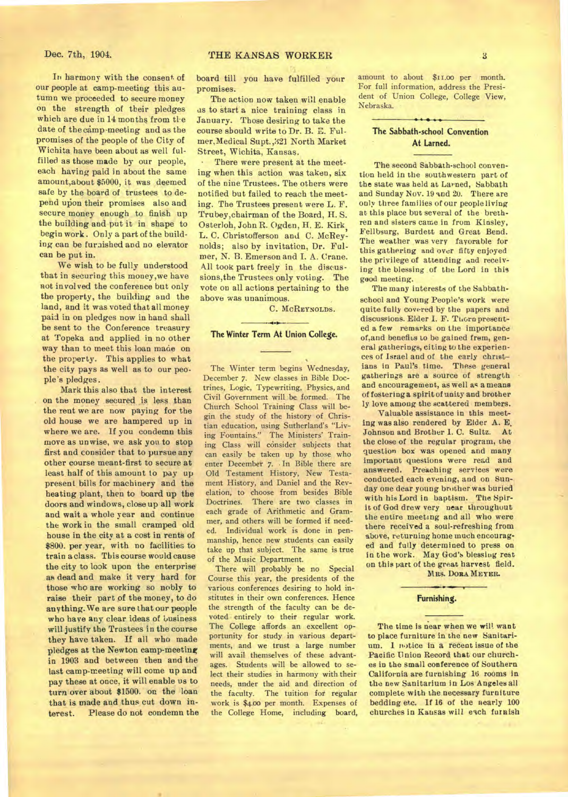In harmony with the consent of our people at camp-meeting this autumn we proceeded to secure money on the strength of their pledges which are due in 14 months from tl•e date of the camp-meeting and as the promises of the people of the City of Wichita have been about as well fulfilled as those made by our people, each having paid in about the same amount,about \$5000, it was deemed safe by the board of trustees to depend upon their promises also and secure money enough to finish up the building and put it in shape to begin work . Only a part of the building can be furaished and no elevator can be put in.

We wish to be fully understood that in securing this money,we have not involved the conference but only the property, the building and the land, and it was voted that all money paid in on pledges now in hand shall be sent to the Conference treasury at Topeka and applied in no other way than to meet this loan made on the property. This applies to what the city pays as well as to our people's pledges.

Mark this also that the interest on the money secured is less than the rent we are now paying for the old house we are hampered up in where we are. If you condemn this move as unwise, we ask you to stop first and consider that to pursue any other course meant-first to secure at least half of this amount to pay up present bills for machinery and the heating plant, then to board up the doors and windows, close up all work and wait a whole year and continue the work in the small cramped old house in the city at a cost in rents of \$800. per year, with no facilities to train a class. This course would cause the city to look upon the enterprise as dead and make it very hard for those who are working so nobly to raise their part of the money, to do any thing.We are sure that our people who have any clear ideas of business will justify the Trustees in the course they have taken. If all who made pledges at the Newton camp-meeting in 1903 and between then and the last camp-meeting will come up and pay these at once, it will enable us to turn over about \$1500. on the loan that is made and thus cut down in-<br>terest. Please do not condemn the Please do not condemn the

board till you have fulfilled your promises.

The action now taken will enable as to start a nice training class in January. Those desiring to take the course sbould write to Dr. B. E. Fulmer,Medical Supt.,321 North Market Street, Wichita, Kansas.

There were present at the meeting when this action was taken, six of the nine Trustees. The others were notified but failed to reach the meeting. The Trustees present were L. F. Trubey,chairman of the Board, H. S. Osterloh, John R. Ogden, H. E. Kirk, L. C. Christofferson and C. McReynolds; also by invitation, Dr. Fulmer, N. B. Emerson and I. A. Crane. All took part freely in the discussions,the Trustees only voting. The vote on all actions pertaining to the above was unanimous.

C. **MCREYNOLDS.** 

#### **The Winter Term At Union College.**

The Winter term begins Wednesday, December 7. New classes in Bible Doctrines, Logic, Typewriting, Physics, and Civil Government will be formed. The Church School Training Class will begin the study of the history of Christian education, using Sutherland's "Living Fountains." The Ministers' Training Class will consider subjects that can easily be taken up by those who enter December 7. • In Bible there are Old Testament History, New Testament History, and Daniel and the Revelation, to choose from besides Bible Doctrines. There are two classes in each grade of Arithmetic and Grammer, and others will be formed if needed. Individual work is done in penmanship, hence new students can easily take up that subject. The same is true of the Music Department.

There will probably be no Special Course this year, the presidents of the various conferences desiring to hold institutes in their own conferences. Hence the strength of the faculty can be devoted entirely to their regular work. The College affords an excellent opportunity for study in various departments, and we trust a large number will avail themselves of these advantages. Students will be allowed to select their studies in harmony with their needs, under the aid and direction of the faculty. The tuition for regular work is \$4.00 per month. Expenses of the College Home, including board,

amount to about \$11.00 per month. For full information, address the President of Union College, College View, Nebraska.

### **The Sabbath-school Convention At Lamed.**

The second Sabbath-school convention held in the southwestern part of the state was held at Larned, Sabbath and Sunday Nov. 19 and 20. There are only three families of our people living at this place but several of the brethren and sisters came in from Kinsley, Fellbsurg, Burdett and Great Bend. The weather was very favorable for this gathering and over fifty enjoyed the privilege of attending and receiving the blessing of the Lord in this good meeting.

The many interests of the Sabbathschool and Young People's work were quite fully covered by the papers and discussions. Elder I. F. Thorn presented a few remarks on the importance of, and benefits to be gained from, general gatherings, citing to the experiences of Israel and of the early christ ians in Paul's time. These general gatherings are a source of strength and encouragement, as well as a means of fostering a spirit of unity and brother ly love among the scattered members.

Valuable assistance in this meeting was also rendered by Elder A. E. Johnson and Brother 1. C. Sultz. At the close of the regular program, the question box was opened and many important questions were read and answered. Preaching services were conducted each evening, and **on** Sunday one dear young brother was buried with his Lord in baptism. The Spirit of God drew very near throughout the entire meeting and all who were there received a soul-refreshing from above, returning home much encouraged and fully determined to press on in the work. May God's blessing rest on this part of the great harvest field.

MRS. DORA MEYER.

#### **Furnishing.**

The time is near when we will want to place furniture in the new Sanitarium. 1 notice in a recent issue of the Pacific Union Record that our churches in the small conference of Southern California are furnishing 16 rooms in the new Sanitarium in Los Angeles all complete with the necessary furniture bedding etc. If 16 of the nearly 100 churches in Kansas will each furnish